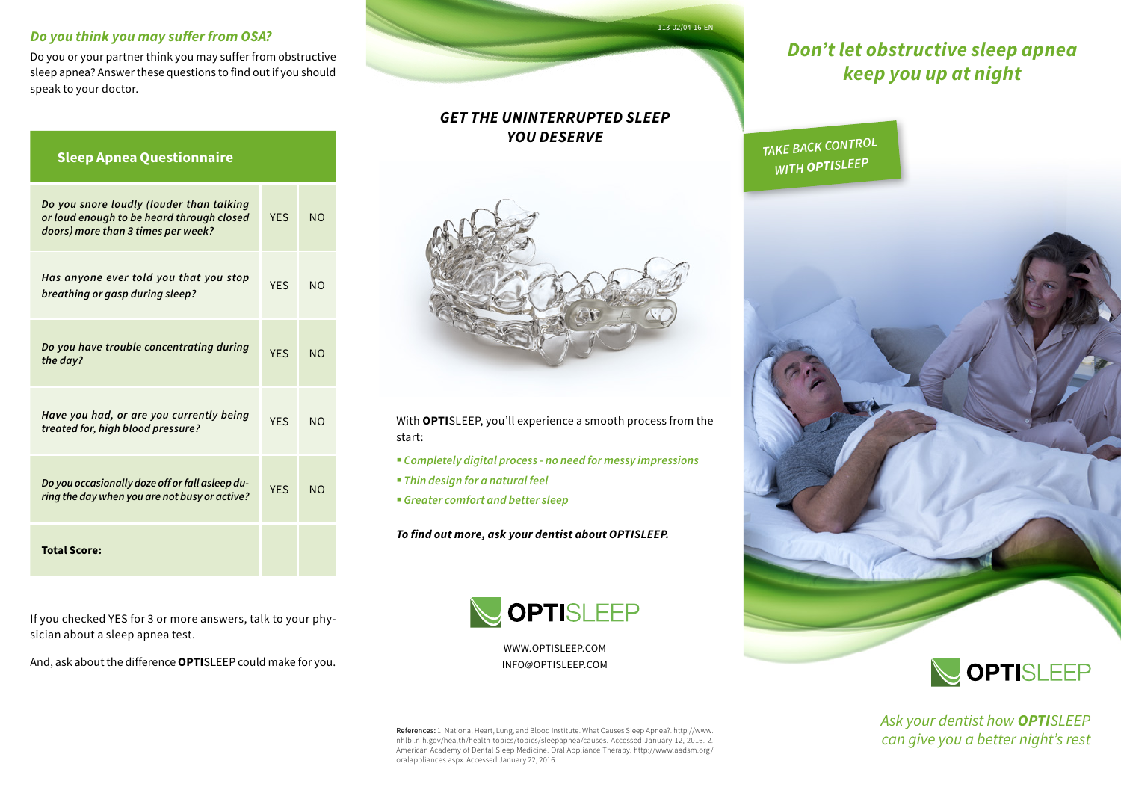#### *Do you think you may suffer from OSA?*

Do you or your partner think you may suffer from obstructive sleep apnea? Answer these questions to find out if you should speak to your doctor.

| <b>Sleep Apnea Questionnaire</b>                                                                                            |            |                |
|-----------------------------------------------------------------------------------------------------------------------------|------------|----------------|
| Do you snore loudly (louder than talking<br>or loud enough to be heard through closed<br>doors) more than 3 times per week? | <b>YES</b> | N <sub>O</sub> |
| Has anyone ever told you that you stop<br>breathing or gasp during sleep?                                                   | <b>YES</b> | N <sub>O</sub> |
| Do you have trouble concentrating during<br>the day?                                                                        | <b>YFS</b> | NO             |
| Have you had, or are you currently being<br>treated for, high blood pressure?                                               | <b>YFS</b> | N <sub>O</sub> |
| Do you occasionally doze off or fall asleep du-<br>ring the day when you are not busy or active?                            | <b>YFS</b> | N <sub>O</sub> |
| <b>Total Score:</b>                                                                                                         |            |                |

113-02/04-16-EN

### *GET THE UNINTERRUPTED SLEEP YOU DESERVE*



With **OPTI**SLEEP, you'll experience a smooth process from the start:

§ *Completely digital process - no need for messy impressions*

- § *Thin design for a natural feel*
- § *Greater comfort and better sleep*

*To find out more, ask your dentist about OPTISLEEP.*



WWW.OPTISLEEP.COM INFO@OPTISLEEP.COM

References: 1. National Heart, Lung, and Blood Institute. What Causes Sleep Apnea?. http://www. nhlbi.nih.gov/health/health-topics/topics/sleepapnea/causes. Accessed January 12, 2016. 2. American Academy of Dental Sleep Medicine. Oral Appliance Therapy. http://www.aadsm.org/ oralappliances.aspx. Accessed January 22, 2016.

## *Don't let obstructive sleep apnea keep you up at night*

*TAKE BACK CONTROL WITH OPTISLEEP*





*Ask your dentist how OPTISLEEP can give you a better night's rest*

If you checked YES for 3 or more answers, talk to your physician about a sleep apnea test.

And, ask about the difference **OPTI**SLEEP could make for you.